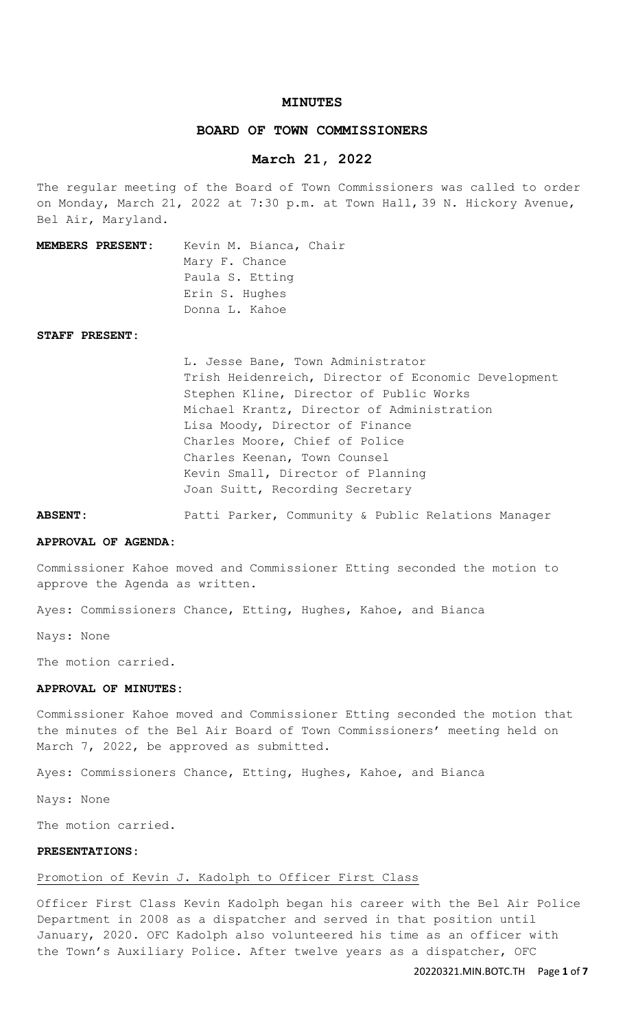#### **MINUTES**

### **BOARD OF TOWN COMMISSIONERS**

### **March 21, 2022**

The regular meeting of the Board of Town Commissioners was called to order on Monday, March 21, 2022 at 7:30 p.m. at Town Hall, 39 N. Hickory Avenue, Bel Air, Maryland.

**MEMBERS PRESENT:** Kevin M. Bianca, Chair Mary F. Chance Paula S. Etting Erin S. Hughes Donna L. Kahoe

#### **STAFF PRESENT:**

L. Jesse Bane, Town Administrator Trish Heidenreich, Director of Economic Development Stephen Kline, Director of Public Works Michael Krantz, Director of Administration Lisa Moody, Director of Finance Charles Moore, Chief of Police Charles Keenan, Town Counsel Kevin Small, Director of Planning Joan Suitt, Recording Secretary

**ABSENT:** Patti Parker, Community & Public Relations Manager

#### **APPROVAL OF AGENDA:**

Commissioner Kahoe moved and Commissioner Etting seconded the motion to approve the Agenda as written.

Ayes: Commissioners Chance, Etting, Hughes, Kahoe, and Bianca

Nays: None

The motion carried.

### **APPROVAL OF MINUTES:**

Commissioner Kahoe moved and Commissioner Etting seconded the motion that the minutes of the Bel Air Board of Town Commissioners' meeting held on March 7, 2022, be approved as submitted.

Ayes: Commissioners Chance, Etting, Hughes, Kahoe, and Bianca

Nays: None

The motion carried.

#### **PRESENTATIONS:**

### Promotion of Kevin J. Kadolph to Officer First Class

Officer First Class Kevin Kadolph began his career with the Bel Air Police Department in 2008 as a dispatcher and served in that position until January, 2020. OFC Kadolph also volunteered his time as an officer with the Town's Auxiliary Police. After twelve years as a dispatcher, OFC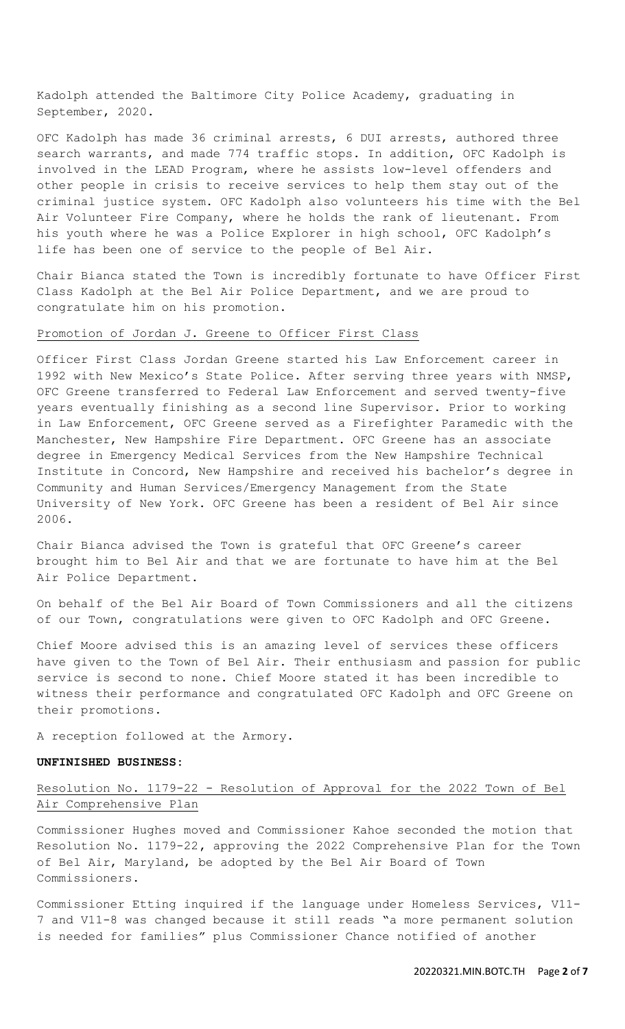Kadolph attended the Baltimore City Police Academy, graduating in September, 2020.

OFC Kadolph has made 36 criminal arrests, 6 DUI arrests, authored three search warrants, and made 774 traffic stops. In addition, OFC Kadolph is involved in the LEAD Program, where he assists low-level offenders and other people in crisis to receive services to help them stay out of the criminal justice system. OFC Kadolph also volunteers his time with the Bel Air Volunteer Fire Company, where he holds the rank of lieutenant. From his youth where he was a Police Explorer in high school, OFC Kadolph's life has been one of service to the people of Bel Air.

Chair Bianca stated the Town is incredibly fortunate to have Officer First Class Kadolph at the Bel Air Police Department, and we are proud to congratulate him on his promotion.

### Promotion of Jordan J. Greene to Officer First Class

Officer First Class Jordan Greene started his Law Enforcement career in 1992 with New Mexico's State Police. After serving three years with NMSP, OFC Greene transferred to Federal Law Enforcement and served twenty-five years eventually finishing as a second line Supervisor. Prior to working in Law Enforcement, OFC Greene served as a Firefighter Paramedic with the Manchester, New Hampshire Fire Department. OFC Greene has an associate degree in Emergency Medical Services from the New Hampshire Technical Institute in Concord, New Hampshire and received his bachelor's degree in Community and Human Services/Emergency Management from the State University of New York. OFC Greene has been a resident of Bel Air since 2006.

Chair Bianca advised the Town is grateful that OFC Greene's career brought him to Bel Air and that we are fortunate to have him at the Bel Air Police Department.

On behalf of the Bel Air Board of Town Commissioners and all the citizens of our Town, congratulations were given to OFC Kadolph and OFC Greene.

Chief Moore advised this is an amazing level of services these officers have given to the Town of Bel Air. Their enthusiasm and passion for public service is second to none. Chief Moore stated it has been incredible to witness their performance and congratulated OFC Kadolph and OFC Greene on their promotions.

A reception followed at the Armory.

#### **UNFINISHED BUSINESS:**

# Resolution No. 1179-22 - Resolution of Approval for the 2022 Town of Bel Air Comprehensive Plan

Commissioner Hughes moved and Commissioner Kahoe seconded the motion that Resolution No. 1179-22**,** approving the 2022 Comprehensive Plan for the Town of Bel Air, Maryland, be adopted by the Bel Air Board of Town Commissioners.

Commissioner Etting inquired if the language under Homeless Services, V11- 7 and V11-8 was changed because it still reads "a more permanent solution is needed for families" plus Commissioner Chance notified of another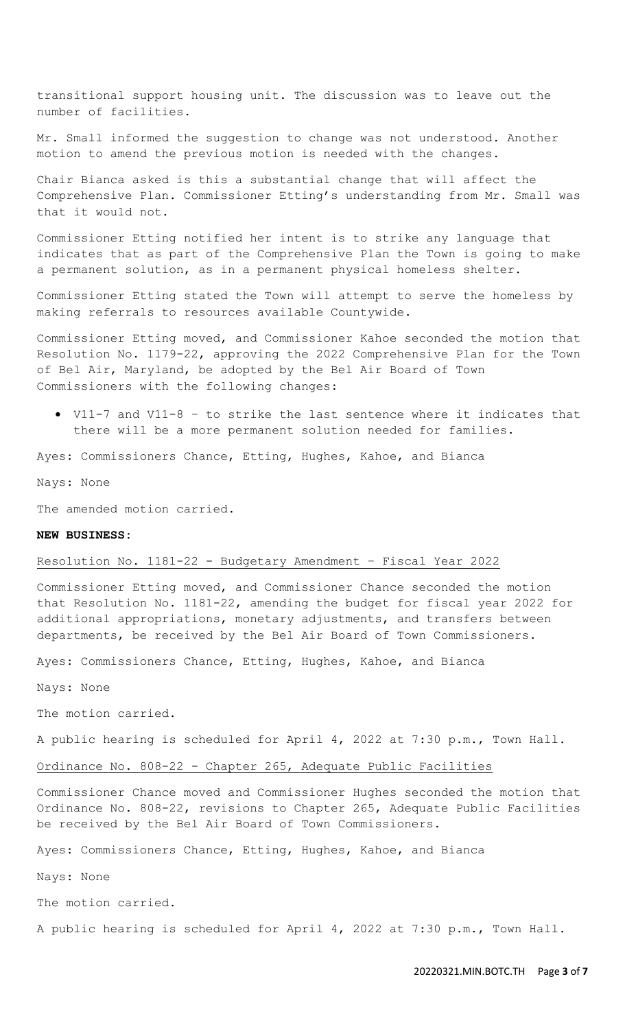transitional support housing unit. The discussion was to leave out the number of facilities.

Mr. Small informed the suggestion to change was not understood. Another motion to amend the previous motion is needed with the changes.

Chair Bianca asked is this a substantial change that will affect the Comprehensive Plan. Commissioner Etting's understanding from Mr. Small was that it would not.

Commissioner Etting notified her intent is to strike any language that indicates that as part of the Comprehensive Plan the Town is going to make a permanent solution, as in a permanent physical homeless shelter.

Commissioner Etting stated the Town will attempt to serve the homeless by making referrals to resources available Countywide.

Commissioner Etting moved, and Commissioner Kahoe seconded the motion that Resolution No. 1179-22, approving the 2022 Comprehensive Plan for the Town of Bel Air, Maryland, be adopted by the Bel Air Board of Town Commissioners with the following changes:

• V11-7 and V11-8 – to strike the last sentence where it indicates that there will be a more permanent solution needed for families.

Ayes: Commissioners Chance, Etting, Hughes, Kahoe, and Bianca

Nays: None

The amended motion carried.

#### **NEW BUSINESS:**

### Resolution No. 1181-22 - Budgetary Amendment – Fiscal Year 2022

Commissioner Etting moved, and Commissioner Chance seconded the motion that Resolution No. 1181-22, amending the budget for fiscal year 2022 for additional appropriations, monetary adjustments, and transfers between departments, be received by the Bel Air Board of Town Commissioners**.**

Ayes: Commissioners Chance, Etting, Hughes, Kahoe, and Bianca

Nays: None

The motion carried.

A public hearing is scheduled for April 4, 2022 at 7:30 p.m., Town Hall.

Ordinance No. 808-22 - Chapter 265, Adequate Public Facilities

Commissioner Chance moved and Commissioner Hughes seconded the motion that Ordinance No. 808-22, revisions to Chapter 265, Adequate Public Facilities be received by the Bel Air Board of Town Commissioners.

Ayes: Commissioners Chance, Etting, Hughes, Kahoe, and Bianca

Nays: None

The motion carried.

A public hearing is scheduled for April 4, 2022 at 7:30 p.m., Town Hall.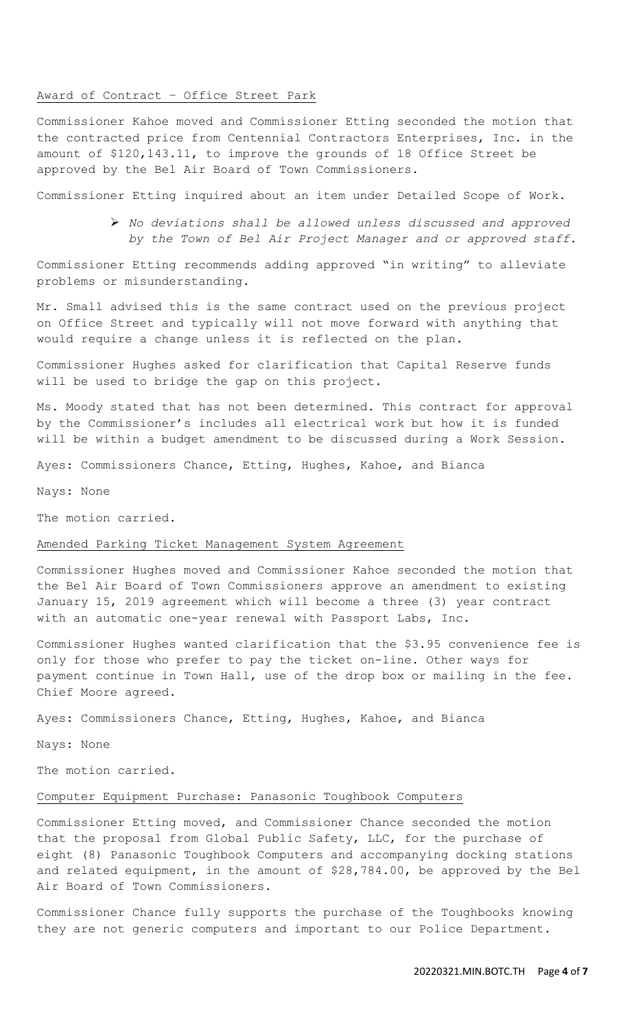# Award of Contract – Office Street Park

Commissioner Kahoe moved and Commissioner Etting seconded the motion that the contracted price from Centennial Contractors Enterprises, Inc. in the amount of \$120,143.11, to improve the grounds of 18 Office Street be approved by the Bel Air Board of Town Commissioners.

Commissioner Etting inquired about an item under Detailed Scope of Work.

 *No deviations shall be allowed unless discussed and approved by the Town of Bel Air Project Manager and or approved staff.*

Commissioner Etting recommends adding approved "in writing" to alleviate problems or misunderstanding.

Mr. Small advised this is the same contract used on the previous project on Office Street and typically will not move forward with anything that would require a change unless it is reflected on the plan.

Commissioner Hughes asked for clarification that Capital Reserve funds will be used to bridge the gap on this project.

Ms. Moody stated that has not been determined. This contract for approval by the Commissioner's includes all electrical work but how it is funded will be within a budget amendment to be discussed during a Work Session.

Ayes: Commissioners Chance, Etting, Hughes, Kahoe, and Bianca

Nays: None

The motion carried.

#### Amended Parking Ticket Management System Agreement

Commissioner Hughes moved and Commissioner Kahoe seconded the motion that the Bel Air Board of Town Commissioners approve an amendment to existing January 15, 2019 agreement which will become a three (3) year contract with an automatic one-year renewal with Passport Labs, Inc.

Commissioner Hughes wanted clarification that the \$3.95 convenience fee is only for those who prefer to pay the ticket on-line. Other ways for payment continue in Town Hall, use of the drop box or mailing in the fee. Chief Moore agreed.

Ayes: Commissioners Chance, Etting, Hughes, Kahoe, and Bianca

Nays: None

The motion carried.

# Computer Equipment Purchase: Panasonic Toughbook Computers

Commissioner Etting moved, and Commissioner Chance seconded the motion that the proposal from Global Public Safety, LLC, for the purchase of eight (8) Panasonic Toughbook Computers and accompanying docking stations and related equipment, in the amount of \$28,784.00, be approved by the Bel Air Board of Town Commissioners.

Commissioner Chance fully supports the purchase of the Toughbooks knowing they are not generic computers and important to our Police Department.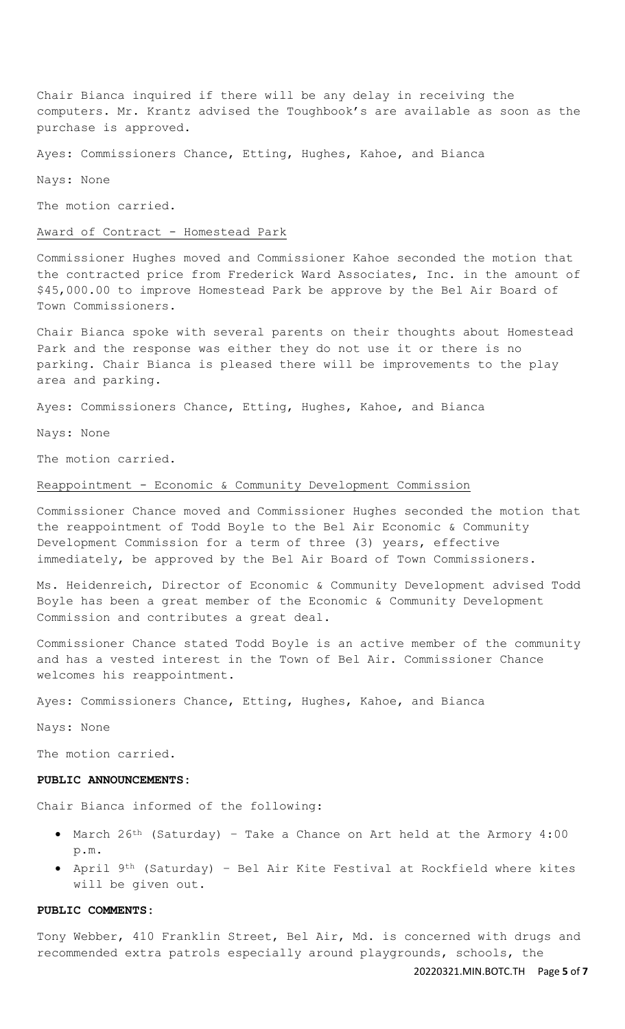Chair Bianca inquired if there will be any delay in receiving the computers. Mr. Krantz advised the Toughbook's are available as soon as the purchase is approved.

Ayes: Commissioners Chance, Etting, Hughes, Kahoe, and Bianca

Nays: None

The motion carried.

#### Award of Contract - Homestead Park

Commissioner Hughes moved and Commissioner Kahoe seconded the motion that the contracted price from Frederick Ward Associates, Inc. in the amount of \$45,000.00 to improve Homestead Park be approve by the Bel Air Board of Town Commissioners.

Chair Bianca spoke with several parents on their thoughts about Homestead Park and the response was either they do not use it or there is no parking. Chair Bianca is pleased there will be improvements to the play area and parking.

Ayes: Commissioners Chance, Etting, Hughes, Kahoe, and Bianca

Nays: None

The motion carried.

#### Reappointment - Economic & Community Development Commission

Commissioner Chance moved and Commissioner Hughes seconded the motion that the reappointment of Todd Boyle to the Bel Air Economic & Community Development Commission for a term of three (3) years, effective immediately, be approved by the Bel Air Board of Town Commissioners.

Ms. Heidenreich, Director of Economic & Community Development advised Todd Boyle has been a great member of the Economic & Community Development Commission and contributes a great deal.

Commissioner Chance stated Todd Boyle is an active member of the community and has a vested interest in the Town of Bel Air. Commissioner Chance welcomes his reappointment.

Ayes: Commissioners Chance, Etting, Hughes, Kahoe, and Bianca

Nays: None

The motion carried.

# **PUBLIC ANNOUNCEMENTS:**

Chair Bianca informed of the following:

- March 26th (Saturday) Take a Chance on Art held at the Armory 4:00 p.m.
- April 9th (Saturday) Bel Air Kite Festival at Rockfield where kites will be given out.

# **PUBLIC COMMENTS:**

Tony Webber, 410 Franklin Street, Bel Air, Md. is concerned with drugs and recommended extra patrols especially around playgrounds, schools, the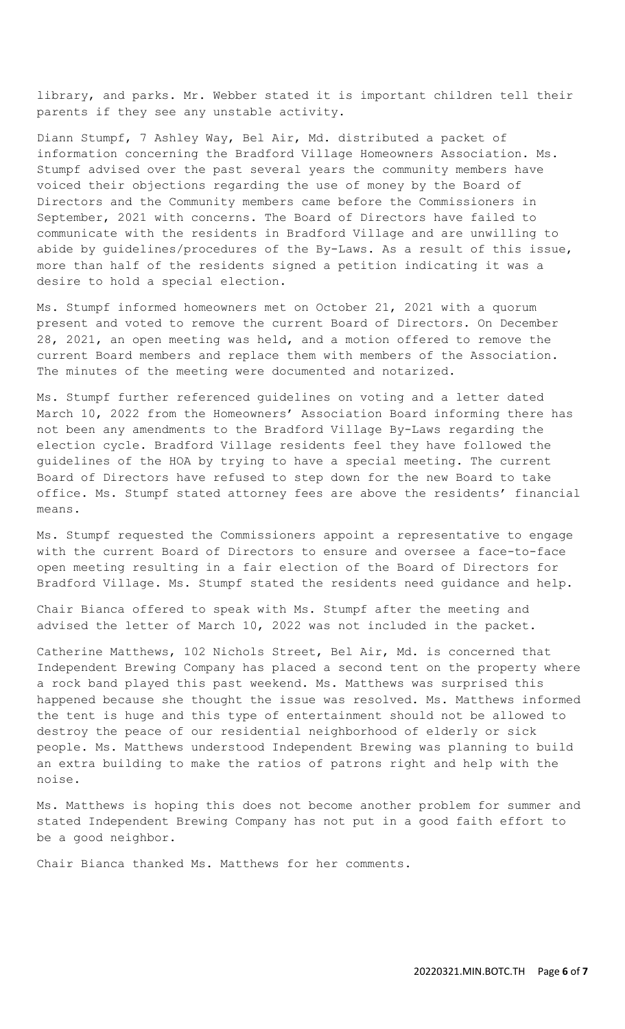library, and parks. Mr. Webber stated it is important children tell their parents if they see any unstable activity.

Diann Stumpf, 7 Ashley Way, Bel Air, Md. distributed a packet of information concerning the Bradford Village Homeowners Association. Ms. Stumpf advised over the past several years the community members have voiced their objections regarding the use of money by the Board of Directors and the Community members came before the Commissioners in September, 2021 with concerns. The Board of Directors have failed to communicate with the residents in Bradford Village and are unwilling to abide by guidelines/procedures of the By-Laws. As a result of this issue, more than half of the residents signed a petition indicating it was a desire to hold a special election.

Ms. Stumpf informed homeowners met on October 21, 2021 with a quorum present and voted to remove the current Board of Directors. On December 28, 2021, an open meeting was held, and a motion offered to remove the current Board members and replace them with members of the Association. The minutes of the meeting were documented and notarized.

Ms. Stumpf further referenced guidelines on voting and a letter dated March 10, 2022 from the Homeowners' Association Board informing there has not been any amendments to the Bradford Village By-Laws regarding the election cycle. Bradford Village residents feel they have followed the guidelines of the HOA by trying to have a special meeting. The current Board of Directors have refused to step down for the new Board to take office. Ms. Stumpf stated attorney fees are above the residents' financial means.

Ms. Stumpf requested the Commissioners appoint a representative to engage with the current Board of Directors to ensure and oversee a face-to-face open meeting resulting in a fair election of the Board of Directors for Bradford Village. Ms. Stumpf stated the residents need guidance and help.

Chair Bianca offered to speak with Ms. Stumpf after the meeting and advised the letter of March 10, 2022 was not included in the packet.

Catherine Matthews, 102 Nichols Street, Bel Air, Md. is concerned that Independent Brewing Company has placed a second tent on the property where a rock band played this past weekend. Ms. Matthews was surprised this happened because she thought the issue was resolved. Ms. Matthews informed the tent is huge and this type of entertainment should not be allowed to destroy the peace of our residential neighborhood of elderly or sick people. Ms. Matthews understood Independent Brewing was planning to build an extra building to make the ratios of patrons right and help with the noise.

Ms. Matthews is hoping this does not become another problem for summer and stated Independent Brewing Company has not put in a good faith effort to be a good neighbor.

Chair Bianca thanked Ms. Matthews for her comments.